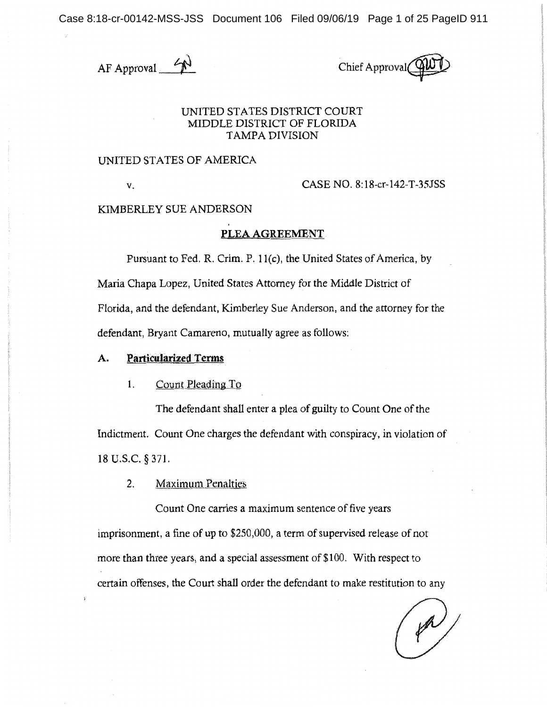Case 8:18-cr-00142-MSS-JSS Document 106 Filed 09/06/19 Page 1 of 25 PageID 911

 $AF$  Approval  $\rightarrow$  Chief Approval

## UNITED STATES DISTRICT COURT MIDDLE DISTRICT OF FLORIDA TAMPA DIVISION

## UNITED STATES OF AMERICA

V. CASE NO. 8:18-cr-142-T-35JSS

KIMBERLEY SUE ANDERSON

## **PLEA AGREEMENT**

Pursuant to Fed. R. Crim. P. l l(c), the United States of America, by Maria Chapa Lopez, United States Attorney for the Middle District of Florida, and the defendant, Kimberley Sue Anderson, and the attorney for the defendant, Bryant Camareno, mutually agree as follows:

## **A.** Particularized Terms

#### $1<sub>1</sub>$ Count Pleading To

The defendant shall enter a plea of guilty to Count One of the Indictment. Count One charges the defendant with conspiracy, in violation of 18 u.s.c. § 371.

2. Maximum Penalties

Count One carries a maximum sentence of five years imprisonment, a fine of up to \$250,000, a term of supervised release of not more than three years, and a special assessment of \$100. With respect to certain offenses, the Court shall order the defendant to make restitution to any

 $\left(\not\rightsquigarrow\right)$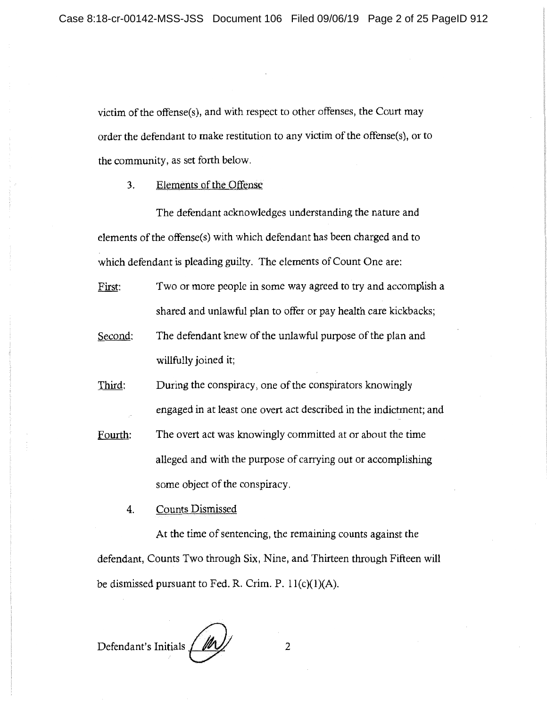victim of the offense(s), and with respect to other offenses, the Court may order the defendant to make restitution to any victim of the offense(s), or to the community, as set forth below.

3. Elements of the Offense

The defendant acknowledges understanding the nature and elements of the offense(s) with which defendant has been charged and to which defendant is pleading guilty. The elements of Count One are:

- First: Two or more people in some way agreed to try and accomplish a shared and unlawful plan to offer or pay health care kickbacks;
- Second: The defendant knew of the unlawful purpose of the plan and willfully joined it;
- Third: During the conspiracy, one of the conspirators knowingly engaged in at least one overt act described in the indictment; and
- Fourth: The overt act was knowingly committed at or about the time alleged and with the purpose of canying out or accomplishing some object of the conspiracy.
	- 4. Counts Dismissed

At the time of sentencing, the remaining counts against the defendant, Counts Two through Six, Nine, and Thirteen through Fifteen will be dismissed pursuant to Fed. R. Crim. P.  $11(c)(1)(A)$ .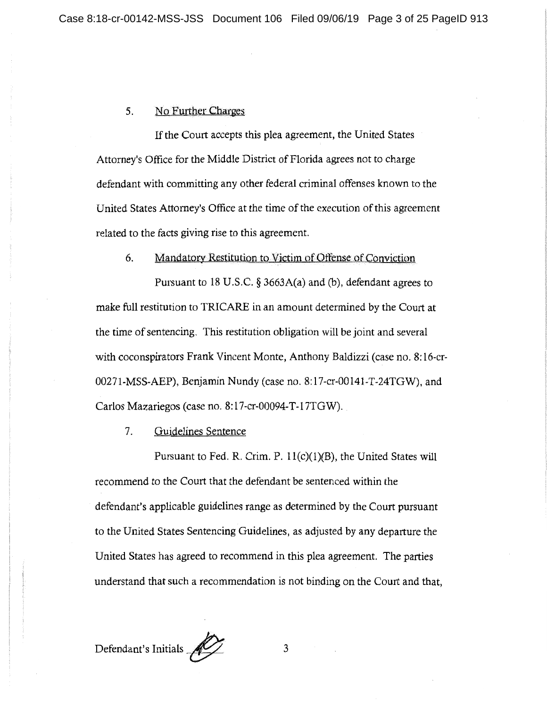## 5. No Further Charges

If the Court accepts this plea agreement, the United States Attorney's Office for the Middle District of Florida agrees not to charge defendant with committing any other federal criminal offenses known to the United States Attorney's Office at the time of the execution of this agreement related to the facts giving rise to this agreement.

## 6. Mandatory Restitution to Victim of Offense of Conviction

Pursuant to 18 U.S.C. § 3663A(a) and (b), defendant agrees to make full restitution to TRICARE in an amount determined by the Court at the time of sentencing. This restitution obligation will be joint and several with coconspirators Frank Vincent Monte, Anthony Baldizzi (case no. 8:16-cr-00271-MSS-AEP), Benjamin Nundy (case no. 8:l 7-cr-00141-T-24TGW), and Carlos Mazariegos (case no. 8:17-cr-00094-T-17TGW).

#### 7. Guidelines Sentence

Pursuant to Fed. R. Crim. P. 11(c)(1)(B), the United States will recommend to the Court that the defendant be sentenced within the defendant's applicable guidelines range as determined by the Court pursuant to the United States Sentencing Guidelines, as adjusted by any departure the United States has agreed to recommend in this plea agreement. The parties understand that such a recommendation is not binding on the Court and that,

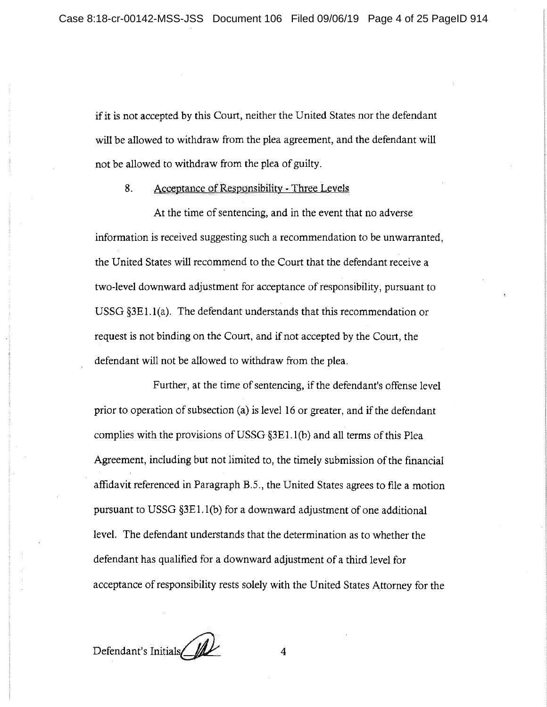if it is not accepted by this Court, neither the United States nor the defendant will be allowed to withdraw from the plea agreement, and the defendant will not be allowed to withdraw from the plea of guilty.

## 8. Acceptance of Responsibility - Three Levels

At the time of sentencing, and in the event that no adverse information is received suggesting such a recommendation to be unwarranted, the United States will recommend to the Court that the defendant receive a two-level downward adjustment for acceptance of responsibility, pursuant to USSG §3El. l(a). The defendant understands that this recommendation or request is not binding on the Court, and if not accepted by the Court, the defendant will not be allowed to withdraw from the plea.

Further, at the time of sentencing, if the defendant's offense level prior to operation of subsection (a) is level 16 or greater, and if the defendant complies with the provisions of USSG §3E 1.1 (b) and all terms of this Plea Agreement, including but not limited to, the timely submission of the financial affidavit referenced in Paragraph B.5., the United States agrees to file a motion pursuant to USSG  $\S 3E1.1(b)$  for a downward adjustment of one additional level. The defendant understands that the determination as to whether the defendant has qualified for a downward adjustment of a third level for acceptance of responsibility rests solely with the United States Attorney for the

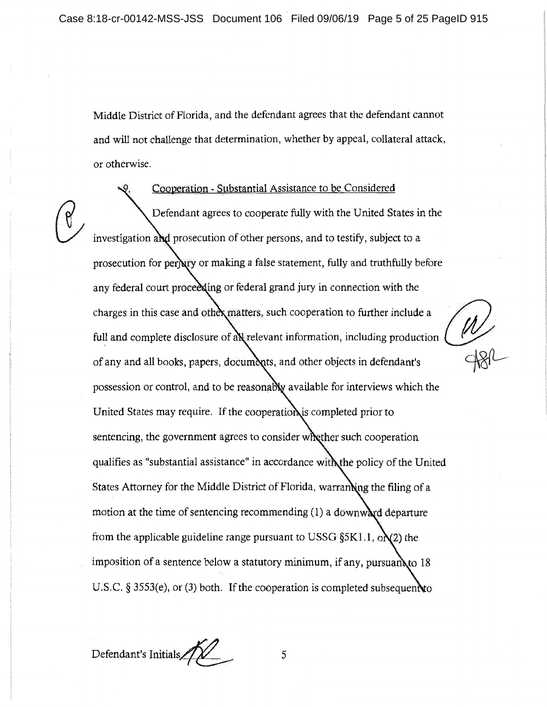Middle District of Florida, and the defendant agrees that the defendant cannot and will not challenge that determination, whether by appeal, collateral attack, or otherwise.

Cooperation - Substantial Assistance to be Considered Defendant agrees to cooperate fully with the United States in the investigation and prosecution of other persons, and to testify, subject to a prosecution for perjury or making a false statement, fully and truthfully before any federal court proceeding or federal grand jury in connection with the charges in this case and other matters, such cooperation to further include a<br>**full** and complete disclosure of all relevant information, including production full and complete disclosure of all relevant information, including production  $\bigcup_{\alpha} P$ ' possession or control, and to be reasonably available for interviews which the United States may require. If the cooperation is completed prior to sentencing, the government agrees to consider whether such cooperation qualifies as "substantial assistance" in accordance with the policy of the United States Attorney for the Middle District of Florida, warran ing the filing of a motion at the time of sentencing recommending  $(1)$  a downward departure from the applicable guideline range pursuant to USSG  $\S 5K1.1$ ,  $\partial N2$ ) the imposition of a sentence below a statutory minimum, if any, pursuan to  $18$ U.S.C. § 3553(e), or (3) both. If the cooperation is completed subsequenno

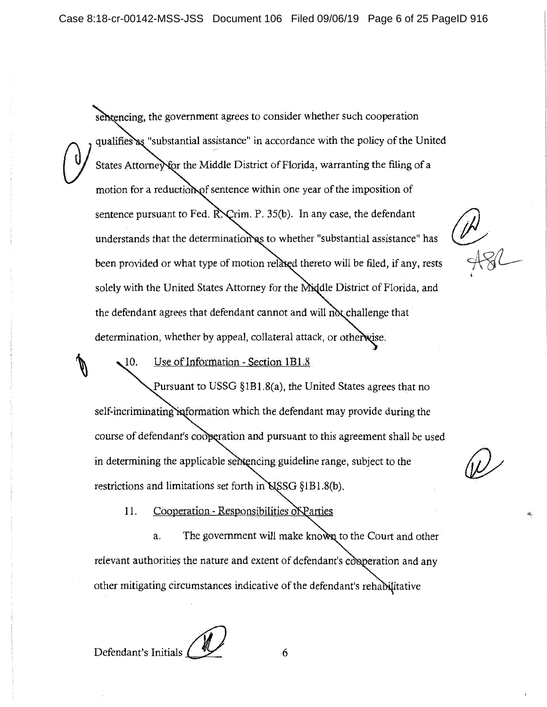selvencing, the government agrees to consider whether such cooperation qualifies as "substantial assistance" in accordance with the policy of the United States Attorney for the Middle District of Florida, warranting the filing of a motion for a reduction of sentence within one year of the imposition of sentence pursuant to Fed.  $\mathbb{R}$   $\mathbb{C}$ rim. P. 35(b). In any case, the defendant understands that the determination as to whether "substantial assistance" has been provided or what type of motion relaxed thereto will be filed, if any, rests solely with the United States Attorney for the Middle District of Florida, and the defendant agrees that defendant cannot and will not challenge that determination, whether by appeal, collateral attack, or otherwise.

r<br>181

Use of Information - Section 1B1.8 10.

Pursuant to USSG §1Bl.8(a), the United States agrees that no self-incriminating information which the defendant may provide during the course of defendant's cooperation and pursuant to this agreement shall be used in determining the applicable sentencing guideline range, subject to the restrictions and limitations set forth in NSSG §1B1.8(b).

Cooperation - Responsibilities of Parties 11.

a. The government will make known to the Court and other relevant authorities the nature and extent of defendant's cooperation and any other mitigating circumstances indicative of the defendant's rehabilitative

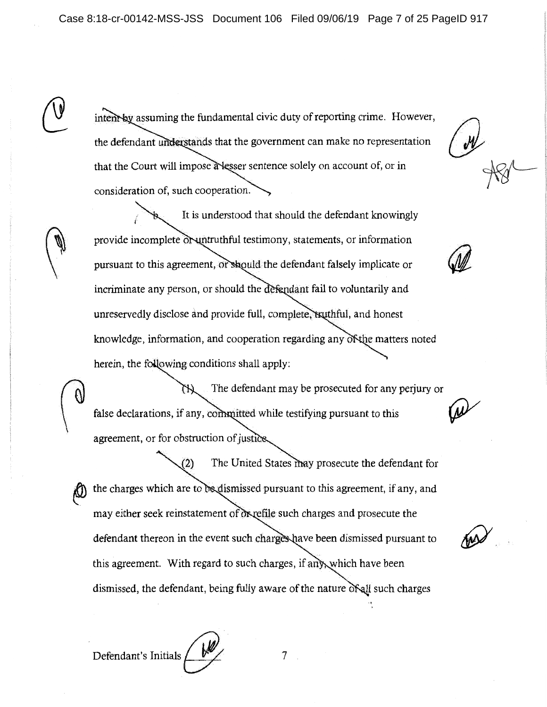intent by assuming the fundamental civic duty of reporting crime. However, the defendant understands that the government can make no representation that the Court will impose a lesser sentence solely on account of, or in consideration of, such cooperation.

It is understood that should the defendant knowingly provide incomplete or untruthful testimony, statements, or information pursuant to this agreement, or should the defendant falsely implicate or incriminate any person, or should the defendant fail to voluntarily and unreservedly disclose and provide full, complete, tsuthful, and honest knowledge, information, and cooperation regarding any of the matters noted herein, the following conditions shall apply:

The defendant may be prosecuted for any perjury or false declarations, if any, committed while testifying pursuant to this agreement, or for obstruction of justice.

The United States may prosecute the defendant for  $(2)$ the charges which are to be dismissed pursuant to this agreement, if any, and may either seek reinstatement of oxyefile such charges and prosecute the defendant thereon in the event such charges have been dismissed pursuant to this agreement. With regard to such charges, if any which have been dismissed, the defendant, being fully aware of the nature of all such charges

Defendant's Initials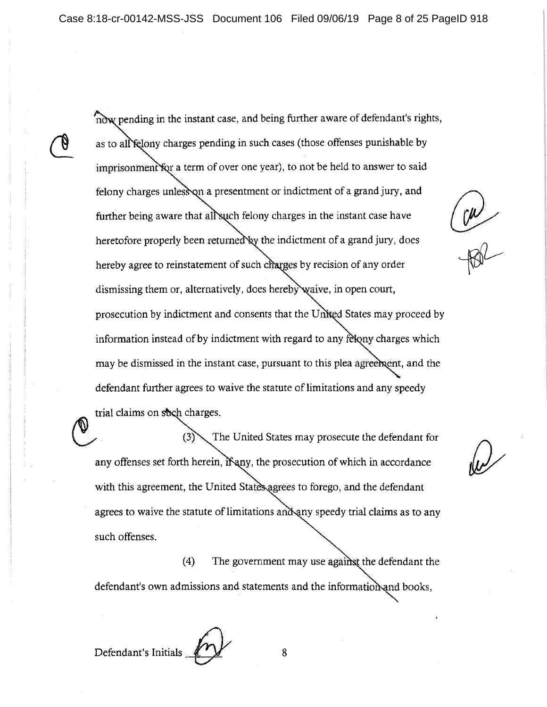Case 8:18-cr-00142-MSS-JSS Document 106 Filed 09/06/19 Page 8 of 25 PageID 918

now pending in the instant case, and being further aware of defendant's rights, as to all felony charges pending in such cases (those offenses punishable by imprisonment for a term of over one year), to not be held to answer to said felony charges unless on a presentment or indictment of a grand jury, and further being aware that all such felony charges in the instant case have heretofore properly been returned by the indictment of a grand jury, does hereby agree to reinstatement of such charges by recision of any order dismissing them or, alternatively, does hereby waive, in open court, prosecution by indictment and consents that the United States may proceed by information instead of by indictment with regard to any felony charges which may be dismissed in the instant case, pursuant to this plea agreement, and the defendant further agrees to waive the statute of limitations and any speedy trial claims on shigh charges.

The United States may prosecute the defendant for  $(3)$ any offenses set forth herein,  $\mathbf{\tilde{m}}$  any, the prosecution of which in accordance with this agreement, the United States agrees to forego, and the defendant agrees to waive the statute of limitations and any speedy trial claims as to any such offenses.

( 4) The government may use agai *:* the defendant the defendant's own admissions and statements and the information and books,

Defendant's Initials *L* **8** 

CON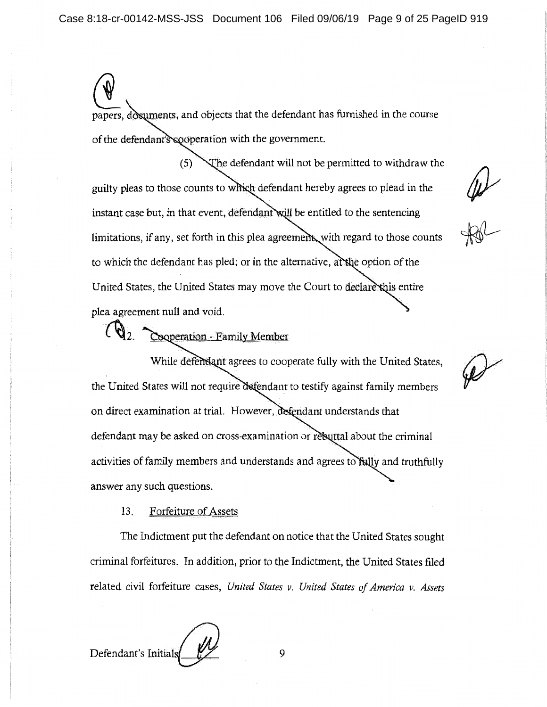papers, dosuments, and objects that the defendant has furnished in the course of the defendant's cooperation with the government.

he defendant will not be permitted to withdraw the  $(5)$ guilty pleas to those counts to which defendant hereby agrees to plead in the instant case but, in that event, defendant will be entitled to the sentencing limitations, if any, set forth in this plea agreement, with regard to those counts to which the defendant has pled; or in the alternative, at the option of the United States, the United States may move the Court to declare this entire plea agreement null and void.

 $4\nu$ 

 $({\mathbf{Q}}_2)$ Cooperation - Family Member

While defendant agrees to cooperate fully with the United States, the United States will not require defendant to testify against family members on direct examination at trial. However, defendant understands that defendant may be asked on cross-examination or rebuttal about the criminal activities of family members and understands and agrees to fully and truthfully answer any such questions.

13. Forfeiture of Assets

The Indictment put the defendant on notice that the United States sought criminal forfeitures. In addition, prior to the Indictment, the United States filed related civil forfeiture cases, *United States v. United States of America v. Assets* 

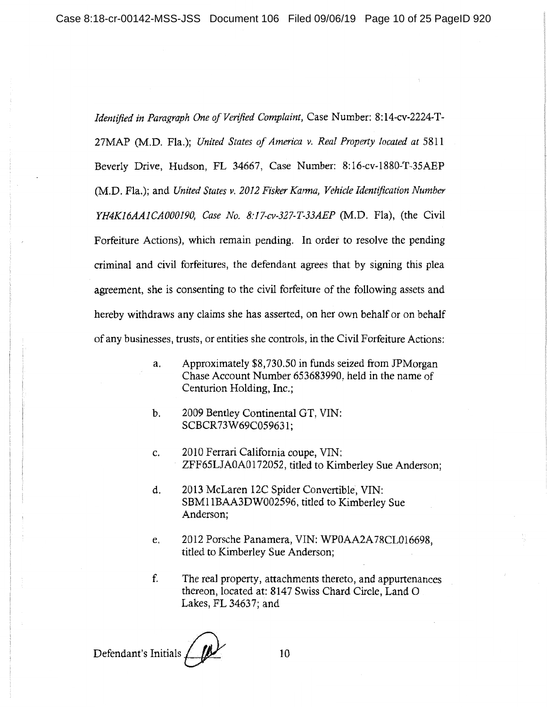*Identified in Paragraph One of Verified Complat'nt,* Case Number: 8:14-cv-2224-T-27MAP (M.D. Fla.); *United States of America v. Real Property located at* 5811 Beverly Drive, Hudson, FL 34667, Case Number: 8:16-cv-1880-T-35AEP (M.D. Fla.); and *United States v. 2012 Fisker Karma, Vehicle Identification Number YH4K16AAJCA000190, Case No. 8:I7-cv-327-T-33AEP* (M.D. Fla), (the Civil Forfeiture Actions), which remain pending. In order to resolve the pending criminal and civil forfeitures, the defendant agrees that by signing this plea agreement, she is consenting to the civil forfeiture of the following assets and hereby withdraws any claims she has asserted, on her own behalf or on behalf of any businesses, trusts, or entities she controls, in the Civil Forfeiture Actions:

- a. Approximately \$8,730.50 in funds seized from JPMorgan Chase Account Number 653683990, held in the name of Centurion Holding, Inc.;
- b. 2009 Bentley Continental GT, VIN: SCBCR 73W69C059631;
- c. 2010 Ferrari California coupe, VIN: ZFF65LJAOA0172052, titled to Kimberley Sue Anderson;
- d. 2013 McLaren 12C Spider Convertible, VIN: SBM11BAA3DW002596, titled to Kimberley Sue Anderson;
- e. 2012 Porsche Panamera, VIN: WPOAA2A78CL016698, titled to Kimberley Sue Anderson;
- f. The real property, attachments thereto, and appurtenances thereon, located at: 8147 Swiss Chard Circle, Land 0 Lakes, FL 34637; and

**Defendant's Initials** 10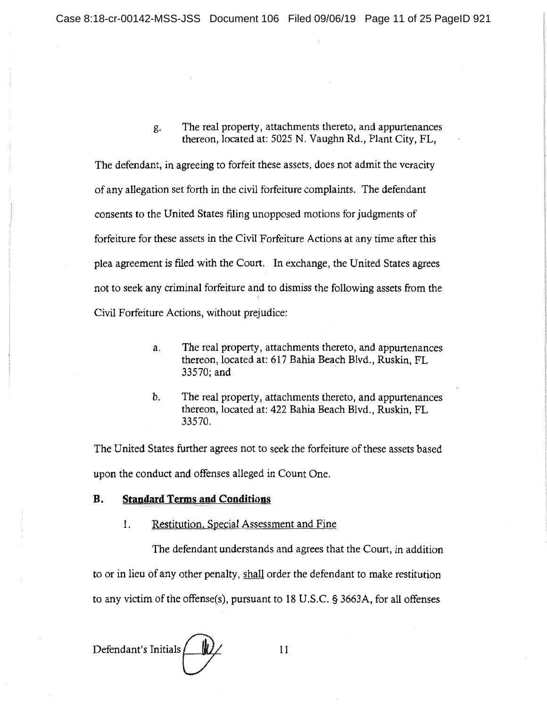g. The real property, attachments thereto, and appurtenances thereon, located at: 5025 N. Vaughn Rd., Plant City, FL,

The defendant, in agreeing to forfeit these assets, does not admit the veracity of any allegation set forth in the civil forfeiture complaints. The defendant consents to the United States filing unopposed motions for judgments of forfeiture for these assets in the Civil Forfeiture Actions at any time after this plea agreement is filed with the Court. In exchange, the United States agrees not to seek any criminal forfeiture and to dismiss the following assets from the ' Civil Forfeiture Actions, without prejudice:

- a. The real property, attachments thereto, and appurtenances thereon, located at: 617 Bahia Beach Blvd., Ruskin, FL 33570;and
- h. The real property, attachments thereto, and appurtenances thereon, located at: 422 Bahia Beach Blvd., Ruskin, FL 33570.

The United States further agrees not to seek the forfeiture of these assets based upon the conduct and offenses alleged in Count One.

## **B. Standard Terms and Conditions**

1. Restitution, Special Assessment and Fine

The defendant understands and agrees that the Court, in addition to or in lieu of any other penalty, shall order the defendant to make restitution

to any victim of the offense(s), pursuant to 18 U.S.C. § 3663A, for all offenses

Defendant's Initials  $\frac{1}{2}$  11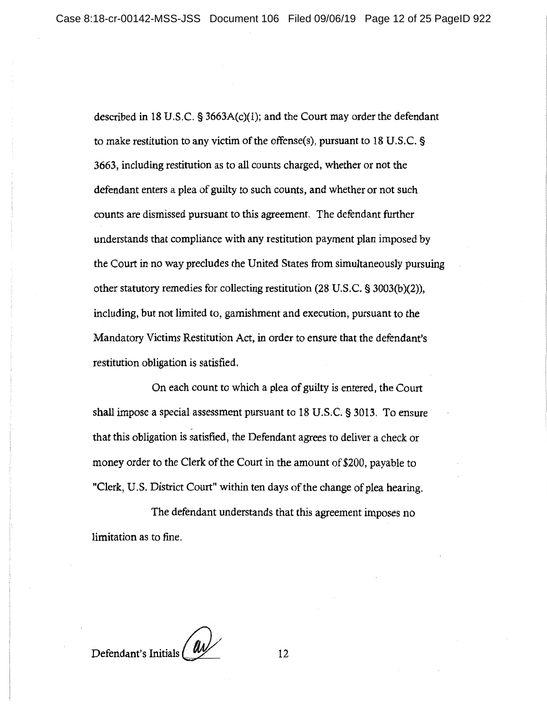described in 18 U.S.C. § 3663A(c)(1); and the Court may order the defendant to make restitution to any victim of the offense(s), pursuant to 18 U.S.C. § 3663, including restitution as to all counts charged, whether or not the defendant enters a plea of guilty to such counts, and whether or not such counts are dismissed pursuant to this agreement. The defendant further understands that compliance with any restitution payment plan imposed by the Court in no way precludes the United States from simultaneously pursuing other statutory remedies for collecting restitution (28 U.S.C. § 3003(b)(2)), including, but not limited to, garnishment and execution, pursuant to the Mandatory Victims Restitution Act, in order to ensure that the defendant's restitution obligation is satisfied.

On each count to which a plea of guilty is entered, the Court shall impose a special assessment pursuant to 18 U.S.C. § 3013. To ensure . that this obligation is satisfied, the Defendant agrees to deliver a check or money order to the Clerk of the Court in the amount of\$200, payable to "Clerk, U.S. District Court" within ten days of the change of plea hearing.

The defendant understands that this agreement imposes no limitation as to fine.

Defendant's Initials <u>(a)</u>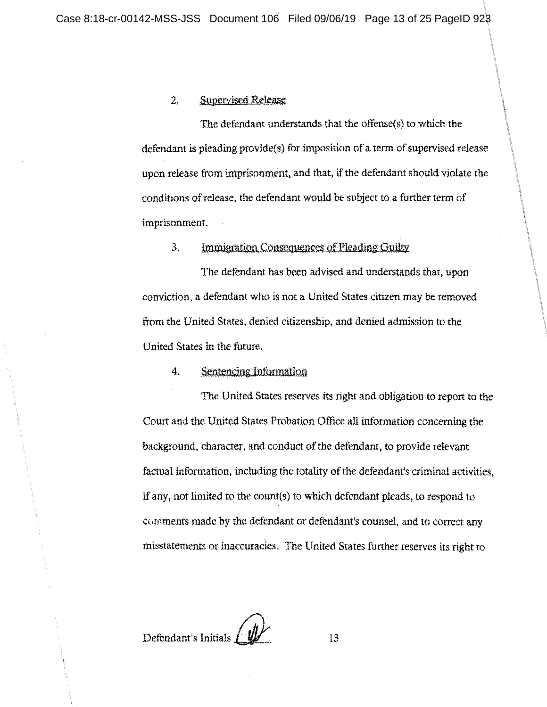## 2. Supervised Release

The defendant understands that the offense(s) to which the defendant is pleading provide(s) for imposition of a term of supervised release upon release from imprisonment, and that, if the defendant should violate the conditions of release, the defendant would be subject to a further term of imprisonment.

## 3. Immigration Consequences of Pleading Guilty

The defendant has been advised and understands that, upon conviction, a defendant who is not a United States citizen may be removed from the United States, denied citizenship, and denied admission to the United States in the future.

## 4. Sentencing Information

The United States reserves its right and obligation to report to the Court and the United States Probation Office all information concerning the background, character, and conduct of the defendant, to provide relevant factual information, including the totality of the defendant's criminal activities, if any, not limited to the count(s) to which defendant pleads, to respond to cornments made by the defendant or defendant's counsel, and to correct any misstatements or inaccuracies. The United States further reserves its right to

Defendant's Initials **BULLER 13**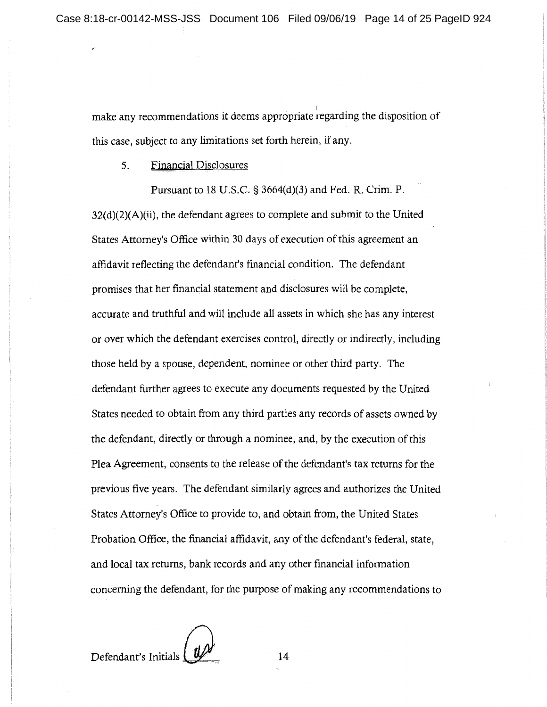make any recommendations it deems appropriate regarding the disposition of this case, subject to any limitations set forth herein, if any.

5. Financial Disclosures

Pursuant to 18 U.S.C.  $\S$  3664(d)(3) and Fed. R. Crim. P. 32(d)(2)(A)(ii), the defendant agrees to complete and submit to the United States Attorney's Office within 30 days of execution of this agreement an affidavit reflecting the defendant's financial condition. The defendant promises that her financial statement and disclosures will be complete, accurate and truthful and will include all assets in which she has any interest or over which the defendant exercises control, directly or indirectly, including those held by a spouse, dependent, nominee or other third party. The defendant further agrees to execute any documents requested by the United States needed to obtain from any third parties any records of assets owned by the defendant, directly or through a nominee, and, by the execution of this Plea Agreement, consents to the release of the defendant's tax returns for the previous five years. The defendant similarly agrees and authorizes the United States Attorney's Office to provide to, and obtain from, the United States Probation Office, the financial affidavit, any of the defendant's federal, state, and local tax returns, bank records and any other financial information concerning the defendant, for the purpose of making any recommendations to

Defendant's Initials  $Q^{\prime\prime}$  14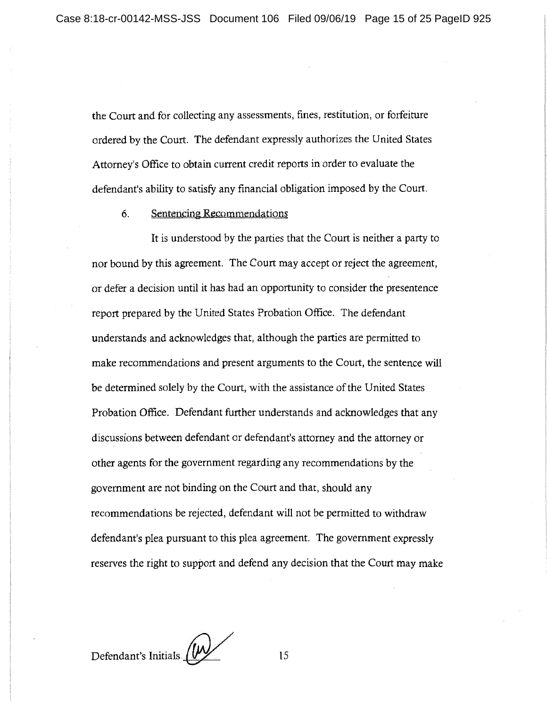the Court and for collecting any assessments, fines, restitution, or fotfeiture ordered by the Court. The defendant expressly authorizes the United States Attorney's Office to obtain current credit reports in order to evaluate the defendant's ability to satisfy any financial obligation imposed by the Court.

6. Sentencing Recommendations

It is understood by the parties that the Court is neither a party to nor bound by this agreement. The Court may accept or reject the agreement, or defer a decision until it has had an opportunity to consider the presentence report prepared by the United States Probation Office. The defendant understands and acknowledges that, although the parties are permitted to make recommendations and present arguments to the Court, the sentence will be determined solely by the Court, with the assistance of the United States Probation Office. Defendant further understands and acknowledges that any discussions between defendant or defendant's attorney and the attorney or other agents for the government regarding any recommendations by the government are not binding on the Court and that, should any recommendations be rejected, defendant will not be permitted to withdraw defendant's plea pursuant to this plea agreement. The government expressly reserves the right to support and defend any decision that the Court may make

Defendant's Initials  $\frac{1}{2}$  15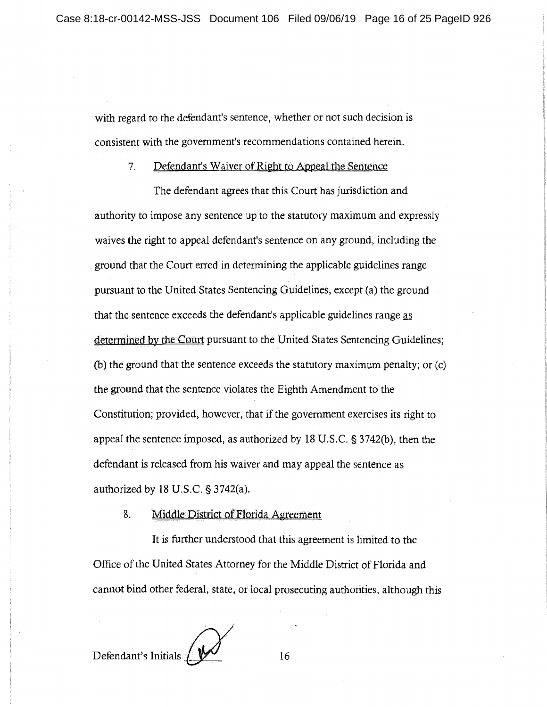with regard to the defendant's sentence, whether or not such decision is consistent with the government's recommendations contained herein.

## 7. Defendant's Waiver of Right to Appeal the Sentence

The defendant agrees that this Court has jurisdiction and authority to impose any sentence up to the statutory maximum and expressly waives the right to appeal defendant's sentence on any ground, including the ground that the Court erred in determining the applicable guidelines range pursuant to the United States Sentencing Guidelines, except (a) the ground that the sentence exceeds the defendant's applicable guidelines range as determined by the Court pursuant to the United States Sentencing Guidelines; (b) the ground that the sentence exceeds the statutory maximum penalty; or  $(c)$ the ground that the sentence violates the Eighth Amendment to the Constitution; provided, however, that if the government exercises its right to appeal the sentence imposed, as authorized by 18 U.S.C. § 3742(b), then the defendant is released from his waiver and may appeal the sentence as authorized by 18 U.S.C. § 3742(a).

## 8. Middle District of Florida Agreement

It is further understood that this agreement is limited to the Office of the United States Attorney for the Middle District of Florida and cannot bind other federal, state, or local prosecuting authorities, although this

**Defendant's Initials / WWW** 16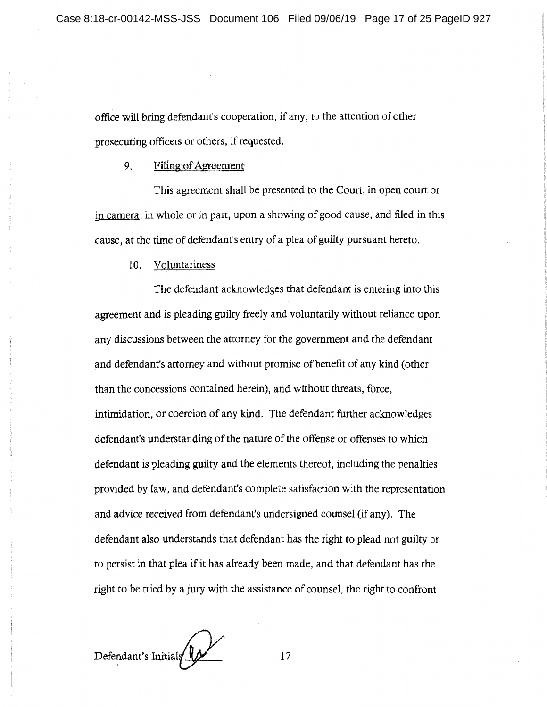office will bring defendant's cooperation, if any, to the attention of other prosecuting officers or others, if requested.

## 9. Filing of Agreement

This agreement shall be presented to the Court, in open court or in camera, in whole or in part, upon a showing of good cause, and filed in this cause, at the time of defendant's entry of a plea of guilty pursuant hereto.

10. Voluntariness

The defendant acknowledges that defendant is entering into this agreement and is pleading guilty freely and voluntarily without reliance upon any discussions between the attorney for the government and the defendant and defendant's attorney and without promise of benefit of any kind (other than the concessions contained herein), and without threats, force, intimidation, or coercion of any kind. The defendant further acknowledges defendant's understanding of the nature of the offense or offenses to which defendant is pleading guilty and the elements thereof, including the penalties provided by law, and defendant's complete satisfaction with the representation and advice received from defendant's undersigned counsel (if any). The defendant also understands that defendant has the right to plead not guilty or to persist in that plea if it has already been made, and that defendant has the right to be tried by a jury with the assistance of counsel, the right to confront

Defendant's Initials  $\frac{1}{\sqrt{1-\frac{1}{\sqrt{1-\frac{1}{\sqrt{1-\frac{1}{\sqrt{1-\frac{1}{\sqrt{1-\frac{1}{\sqrt{1-\frac{1}{\sqrt{1-\frac{1}{\sqrt{1-\frac{1}{\sqrt{1-\frac{1}{\sqrt{1-\frac{1}{\sqrt{1-\frac{1}{\sqrt{1-\frac{1}{\sqrt{1-\frac{1}{\sqrt{1-\frac{1}{\sqrt{1-\frac{1}{\sqrt{1-\frac{1}{\sqrt{1-\frac{1}{\sqrt{1-\frac{1}{\sqrt{1-\frac{1}{\sqrt{1-\frac{1}{\sqrt{1-\frac{1}{\sqrt{1-\$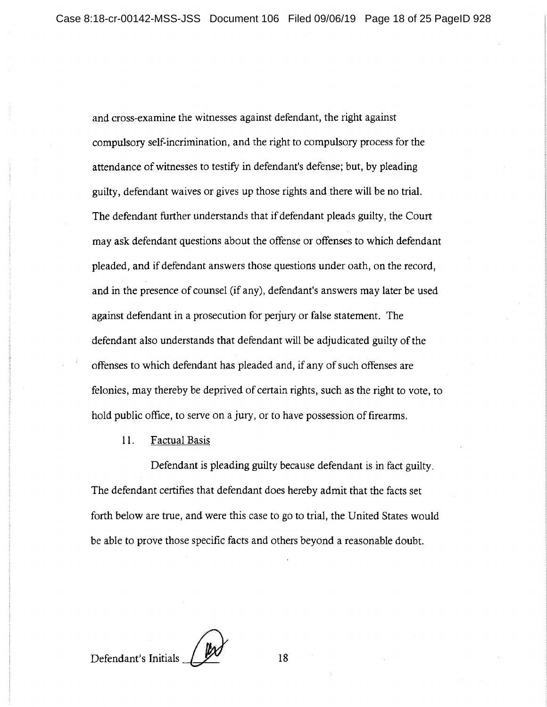and cross-examine the witnesses against defendant, the right against compulsory self-incrimination, and the right to compulsory process for the attendance of witnesses to testify in defendant's defense; but, by pleading guilty, defendant waives or gives up those rights and there will be no trial. The defendant further understands that if defendant pleads guilty, the Court may ask defendant questions about the offense or offenses to which defendant pleaded, and if defendant answers those questions under oath, on the record, and in the presence of counsel (if any), defendant's answers may later be used against defendant in a prosecution for perjury or false statement. The defendant also understands that defendant will be adjudicated guilty of the offenses to which defendant has pleaded and, if any of such offenses are felonies, may thereby be deprived of certain rights, such as the right to vote, to hold public office, to serve on a jury, or to have possession of firearms.

11. Factual Basis

Defendant is pleading guilty because defendant is in fact guilty. The defendant certifies that defendant does hereby admit that the facts set forth below are true, and were this case to go to trial, the United States would be able to prove those specific facts and others beyond a reasonable doubt.

Defendant's Initials *AX* 18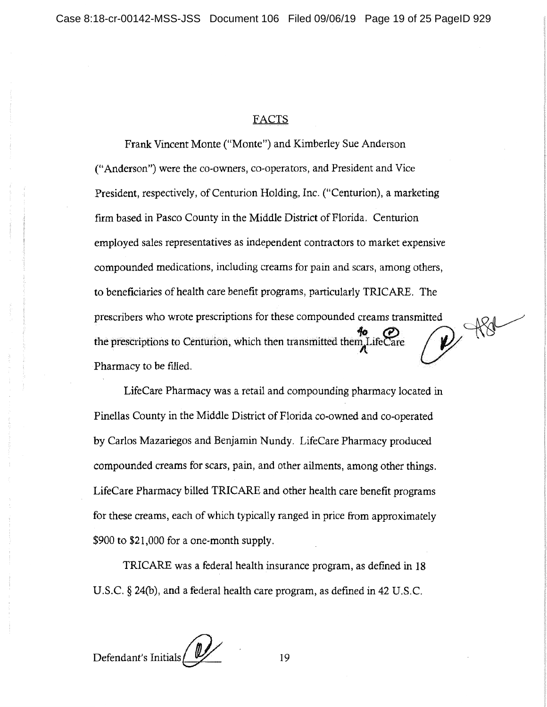## FACTS

Frank Vincent Monte ("Monte") and Kimberley Sue Anderson ("Anderson") were the co-owners, co-operators, and President and Vice President, respectively, of Centurion Holding, Inc. ("Centurion), a marketing firm based in Pasco County in the Middle District of Florida. Centurion employed sales representatives as independent contractors to market expensive compounded medications, including creams for pain and scars, among others, to beneficiaries of health care benefit programs, particularly TRJCARE. The to beneficiaries of health care benefit programs, particularly TRICARE. The prescribers who wrote prescriptions for these compounded creams transmitted prescribers who wrote prescriptions for these compounded creams transmitted<br>the prescriptions to Centurion, which then transmitted them, LifeCare Pharmacy to be filled.

LifeCare Pharmacy was a retail and compounding pharmacy located in Pinellas County in the Middle District of Florida co-owned and co-operated by Carlos Mazariegos and Benjamin Nundy. LifeCare Pharmacy produced compounded creams for scars, pain, and other ailments, among other things. LifeCare Pharmacy billed TRICARE and other health care benefit programs for these creams, each of which typically ranged in price from approximately \$900 to \$21,000 for a one-month supply.

TRICARE was a federal health insurance program, as defined in 18 U.S.C. § 24(b), and a federal health care program, as defined in 42 U.S.C.

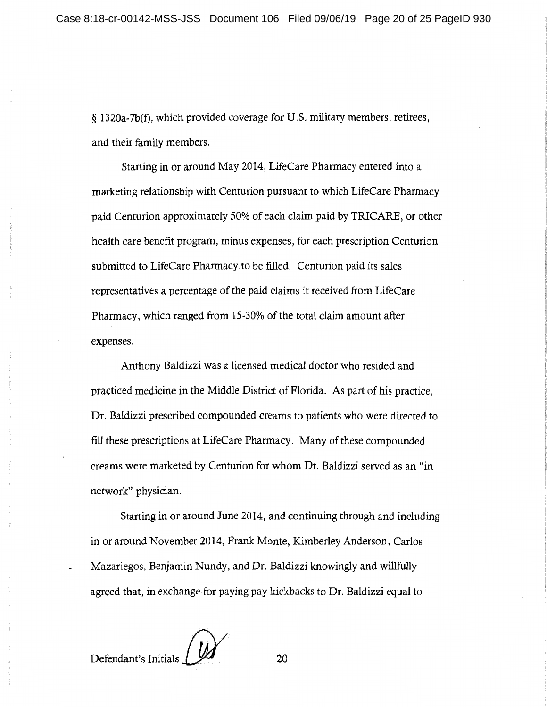§ 1320a-7b(f), which provided coverage for U.S. military members, retirees, and their family members.

Starting in or around May 2014, LifeCare Pharmacy entered into a marketing relationship with Centurion pursuant to which LifeCare Pharmacy paid Centurion approximately 50% of each claim paid by TRJCARE, or other health care benefit program, minus expenses, for each prescription Centurion submitted to LifeCare Pharmacy to be filled. Centurion paid its sales representatives a percentage of the paid claims it received from LifeCare Pharmacy, which ranged from 15-30% of the total claim amount after **expenses.** 

Anthony Baldizzi was a licensed medical doctor who resided and practiced medicine in the Middle District of Florida. As part of his practice, Dr. Baldizzi prescribed compounded creams to patients who were directed to fill these prescriptions at LifeCare Pharmacy. Many of these compounded creams were marketed by Centurion for whom Dr. Baldizzi served as an "in network" physician.

Starting in or around June 2014, and continuing through and including **in** or around November 2014, Frank Monte, Kimberley Anderson, Carlos Mazariegos, Benjamin Nundy, and Dr. Baldizzi knowingly and willfully agreed that, in exchange for paying pay kickbacks to Dr. Baldizzi equal to

Defendant's Initials <u>111</u> 20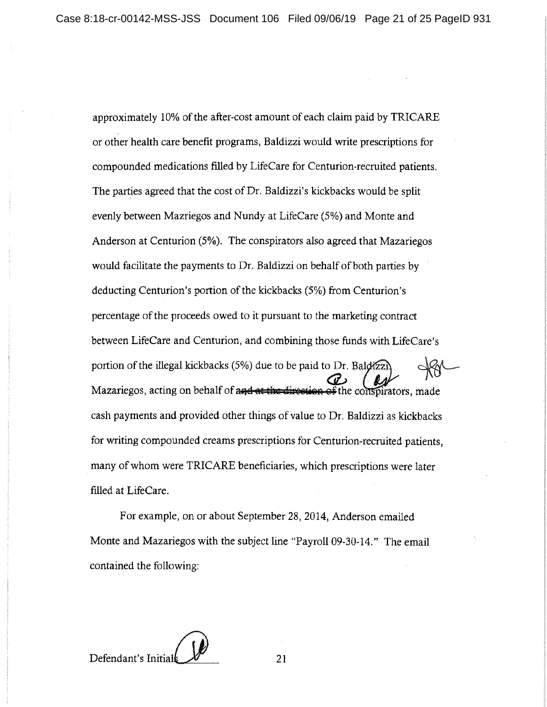approximately 10% of the after-cost amount of each claim paid by TRICARE or other health care benefit programs, Baldizzi would write prescriptions for compounded medications filled by LifeCare for Centurion-recruited patients. The parties agreed that the cost of Dr. Baldizzi's kickbacks would be split evenly between Mazriegos and Nundy at LifeCare (5%) and Monte and Anderson at Centurion (5%). The conspirators also agreed that Mazariegos would facilitate the payments to Dr. Baldizzi on behalf of both parties by deducting Centurion's portion of the kickbacks (5%) from Centurion's percentage of the proceeds owed to it pursuant to the marketing contract between LifeCare and Centurion, and combining those funds with LifeCare's portion of the illegal kickbacks  $(5%)$  due to be paid to Dr. Bald $\mathbb{Z}$ . Mazariegos, acting on behalf of and at the direction of the conspirators, made cash payments and provided other things of value to Dr. Baldizzi as kickbacks for writing compounded creams prescriptions for Centurion-recruited patients, many of whom were TRICARE beneficiaries, which prescriptions were later filled at LifeCare.

For example, on or about September 28, 2014, Anderson emailed Monte and Mazariegos with the subject line "Payroll 09-30-14." The email contained the following:

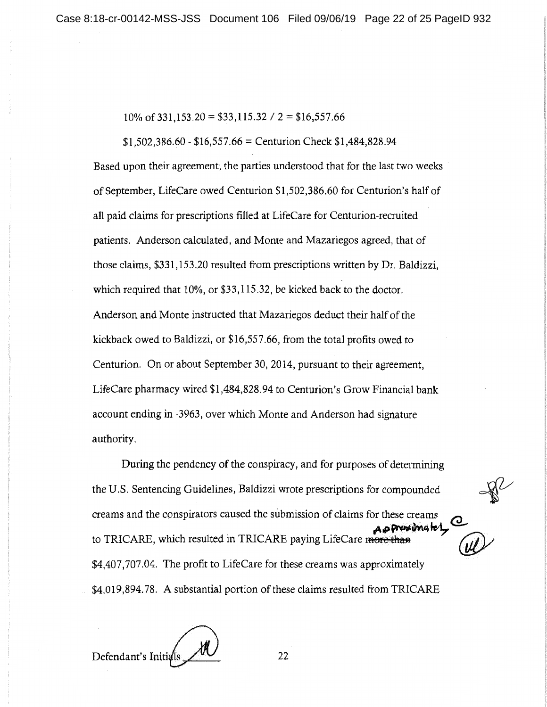$10\% \text{ of } 331,153.20 = $33,115.32 / 2 = $16,557.66$ 

 $$1,502,386.60 - $16,557.66 =$  Centurion Check  $$1,484,828.94$ Based upon their agreement, the parties understood that for the last two weeks of September, LifeCare owed Centurion \$1,502,386.60 for Centurion's half of all paid claims for prescriptions filled at LifeCare for Centurion-recruited patients. Anderson calculated, and Monte and Mazariegos agreed, that of those claims, \$331,153.20 resulted from prescriptions written by Dr. Baldizzi, which required that 10%, or \$33,115.32, be kicked back to the doctor. Anderson and Monte instructed that Mazariegos deduct their half of the kickback owed to Baldizzi, or \$16,557.66, from the total profits owed to Centurion. On or about September 30, 2014, pursuant to their agreement, LifeCare pharmacy wired \$1,484,828.94 to Centurion's Grow Financial bank account ending in -3963, over which Monte and Anderson had signature authority.

During the pendency of the conspiracy, and for purposes of determining the U.S. Sentencing Guidelines, Baldizzi wrote prescriptions for compounded the U.S. Sentencing Guidelines, Baldizzi wrote prescriptions for compounded<br>creams and the conspirators caused the submission of claims for these creams<br>to TPICAPE which resulted in TPICAPE paying LifeCare manthes. pressionately **@** to TRICARE, which resulted in TRICARE paying LifeCare me \$4,407,707.04. The profit to LifeCare for these creams was approximately \$4,019,894.78. A substantial portion of these claims resulted from TRICARE

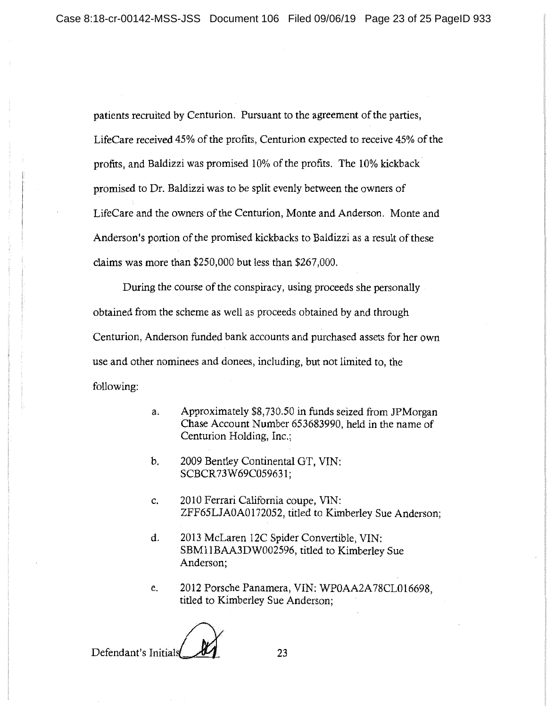patients recruited by Centurion. Pursuant to the agreement of the parties, LifeCare received 45% of the profits, Centurion expected to receive 45% of the profits, and Baldizzi was promised 10% of the profits. The 10% kickback promised to Dr. Baldizzi was to be split evenly between the owners of LifeCare and the owners of the Centurion, Monte and Anderson. Monte and Anderson's portion of the promised kickbacks to Baldizzi as a result of these claims was more than \$250,000 but less than \$267,000.

During the course of the conspiracy, using proceeds she personally obtained from the scheme as well as proceeds obtained by and through Centurion, Anderson funded bank accounts and purchased assets for her own use and other nominees and donees, including, but not limited to, the following:

- a. Approximately \$8,730.50 in funds seized from JPMorgan Chase Account Number 653683990, held in the name of Centurion Holding, Inc.;
- b. 2009 Bentley Continental GT, VIN: SCBCR73W69C059631;
- c. 2010 Ferrari California coupe, VIN: ZFF65LJA0A0172052, titled to Kimberley Sue Anderson;
- d. 2013 McLaren 12C Spider Convertible, VIN: SBMl IBAA3DW002596, titled to Kimberley Sue Anderson;
- e. 2012 Porsche Panamera, VIN: WPOAA2A78CL016698, titled to Kimberley Sue Anderson;

Defendant's Initials  $\mathcal{U}$  23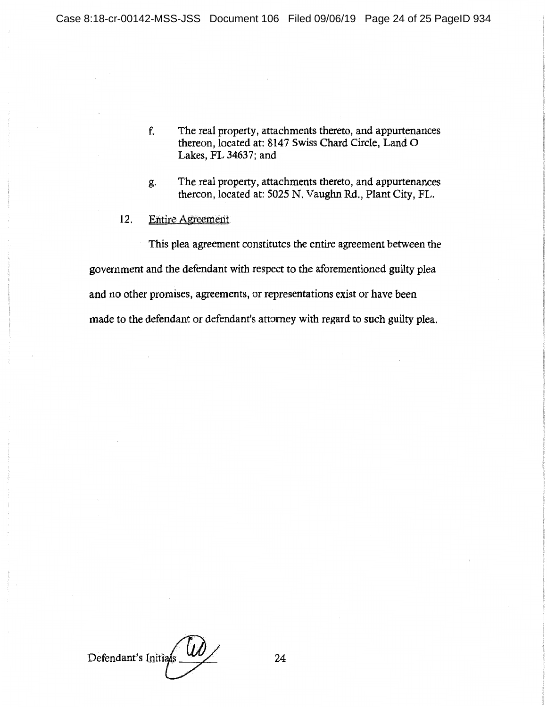- f. The real property, attachments thereto, and appurtenances thereon, located at: 8147 Swiss Chard Circle, Land O Lakes, FL 34637; and
- g. The real property, attachments thereto, and appurtenances thereon, located at: 5025 N. Vaughn Rd., Plant City, FL.
- 12. Entire Agreemeht

This plea agreement constitutes the entire agreement between the government and the defendant with respect to the aforementioned guilty plea and no other promises, agreements, or representations exist or have been made to the defendant or defendant's attorney with regard to such guilty plea.

Defendant's Initians 124